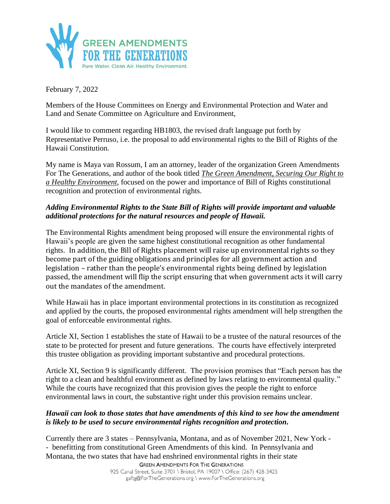

February 7, 2022

Members of the House Committees on Energy and Environmental Protection and Water and Land and Senate Committee on Agriculture and Environment,

I would like to comment regarding HB1803, the revised draft language put forth by Representative Perruso, i.e. the proposal to add environmental rights to the Bill of Rights of the Hawaii Constitution.

My name is Maya van Rossum, I am an attorney, leader of the organization Green Amendments For The Generations, and author of the book titled *The Green Amendment, Securing Our Right to a Healthy Environment*, focused on the power and importance of Bill of Rights constitutional recognition and protection of environmental rights.

## *Adding Environmental Rights to the State Bill of Rights will provide important and valuable additional protections for the natural resources and people of Hawaii.*

The Environmental Rights amendment being proposed will ensure the environmental rights of Hawaii's people are given the same highest constitutional recognition as other fundamental rights. In addition, the Bill of Rights placement will raise up environmental rights so they become part of the guiding obligations and principles for all government action and legislation – rather than the people's environmental rights being defined by legislation passed, the amendment will flip the script ensuring that when government acts it will carry out the mandates of the amendment.

While Hawaii has in place important environmental protections in its constitution as recognized and applied by the courts, the proposed environmental rights amendment will help strengthen the goal of enforceable environmental rights.

Article XI, Section 1 establishes the state of Hawaii to be a trustee of the natural resources of the state to be protected for present and future generations. The courts have effectively interpreted this trustee obligation as providing important substantive and procedural protections.

Article XI, Section 9 is significantly different. The provision promises that "Each person has the right to a clean and healthful environment as defined by laws relating to environmental quality." While the courts have recognized that this provision gives the people the right to enforce environmental laws in court, the substantive right under this provision remains unclear.

## *Hawaii can look to those states that have amendments of this kind to see how the amendment is likely to be used to secure environmental rights recognition and protection.*

Currently there are 3 states – Pennsylvania, Montana, and as of November 2021, New York - - benefitting from constitutional Green Amendments of this kind. In Pennsylvania and Montana, the two states that have had enshrined environmental rights in their state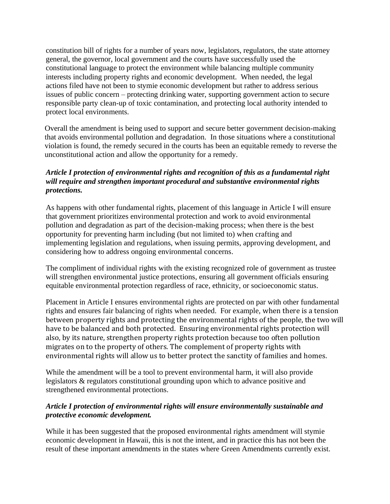constitution bill of rights for a number of years now, legislators, regulators, the state attorney general, the governor, local government and the courts have successfully used the constitutional language to protect the environment while balancing multiple community interests including property rights and economic development. When needed, the legal actions filed have not been to stymie economic development but rather to address serious issues of public concern – protecting drinking water, supporting government action to secure responsible party clean-up of toxic contamination, and protecting local authority intended to protect local environments.

Overall the amendment is being used to support and secure better government decision-making that avoids environmental pollution and degradation. In those situations where a constitutional violation is found, the remedy secured in the courts has been an equitable remedy to reverse the unconstitutional action and allow the opportunity for a remedy.

## *Article I protection of environmental rights and recognition of this as a fundamental right will require and strengthen important procedural and substantive environmental rights protections.*

As happens with other fundamental rights, placement of this language in Article I will ensure that government prioritizes environmental protection and work to avoid environmental pollution and degradation as part of the decision-making process; when there is the best opportunity for preventing harm including (but not limited to) when crafting and implementing legislation and regulations, when issuing permits, approving development, and considering how to address ongoing environmental concerns.

The compliment of individual rights with the existing recognized role of government as trustee will strengthen environmental justice protections, ensuring all government officials ensuring equitable environmental protection regardless of race, ethnicity, or socioeconomic status.

Placement in Article I ensures environmental rights are protected on par with other fundamental rights and ensures fair balancing of rights when needed. For example, when there is a tension between property rights and protecting the environmental rights of the people, the two will have to be balanced and both protected. Ensuring environmental rights protection will also, by its nature, strengthen property rights protection because too often pollution migrates on to the property of others. The complement of property rights with environmental rights will allow us to better protect the sanctity of families and homes.

While the amendment will be a tool to prevent environmental harm, it will also provide legislators & regulators constitutional grounding upon which to advance positive and strengthened environmental protections.

## *Article I protection of environmental rights will ensure environmentally sustainable and protective economic development.*

While it has been suggested that the proposed environmental rights amendment will stymie economic development in Hawaii, this is not the intent, and in practice this has not been the result of these important amendments in the states where Green Amendments currently exist.